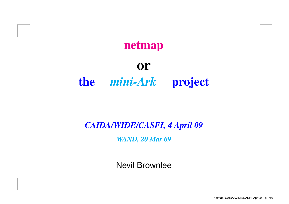# **netmaporthe** *mini-Ark* **project**

# *CAIDA/WIDE/CASFI, <sup>4</sup> April <sup>09</sup>*

*WAND, <sup>20</sup> Mar <sup>09</sup>*

Nevil Brownlee

netmap, CAIDA/WIDE/CASFI, Apr 09 – p.1/16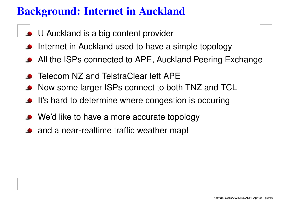### **Background: Internet in Auckland**

- U Auckland is a big content provider
- Internet in Auckland used to have <sup>a</sup> simple topology
- All the ISPs connected to APE, Auckland Peering Exchange
- Telecom NZ and TelstraClear left APE
- Now some larger ISPs connect to both TNZ and TCL
- It's hard to determine where congestion is occuring
- We'd like to have a more accurate topology
- and a near-realtime traffic weather map!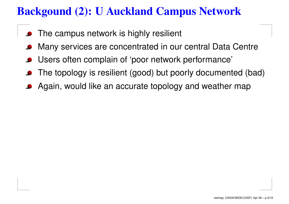#### **Backgound (2): <sup>U</sup> Auckland Campus Network**

- **•** The campus network is highly resilient
- Many services are concentrated in our central Data Centre
- Users often complain of 'poor network performance'
- The topology is resilient (good) but poorly documented (bad)
- Again, would like an accurate topology and weather map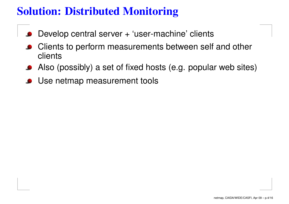## **Solution: Distributed Monitoring**

- Develop central server + 'user-machine' clients
- Clients to perform measurements between self and other clients
- Also (possibly) <sup>a</sup> set of fixed hosts (e.g. popular web sites)
- Use netmap measurement tools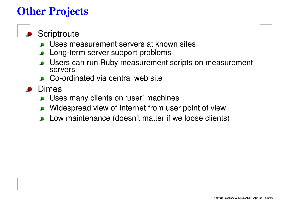## **Other Projects**

#### **Scriptroute**

- Uses measurement servers at known sites
- Long-term server support problems
- Users can run Ruby measurement scripts on measurement servers
- Co-ordinated via central web site

#### Dimes

- Uses many clients on 'user' machines
- Widespread view of Internet from user point of view $\bullet$
- Low maintenance (doesn't matter if we loose clients)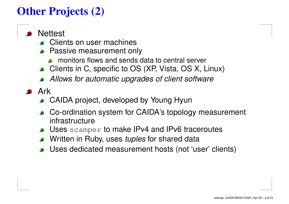# **Other Projects (2)**

#### **Nettest**

- **Clients on user machines**
- Passive measurement only
	- monitors flows and sends data to central server
- Clients in C, specific to OS (XP, Vista, OS X, Linux)
- Allows for automatic upgrades of client software

#### **Ark**

- CAIDA project, developed by Young Hyun
- Co-ordination system for CAIDA's topology measurement infrastructure
- Uses scamper to make IPv4 and IPv6 traceroutes
- Written in Ruby, uses *tuples* for shared data
- Uses dedicated measurement hosts (not 'user' clients)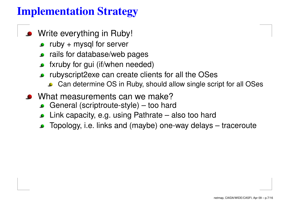### **Implementation Strategy**

- **•** Write everything in Ruby!
	- ruby  $+$  mysql for server
	- rails for database/web pages
	- fxruby for gui (if/when needed)
	- rubyscript2exe can create clients for all the OSes
		- Can determine OS in Ruby, should allow single script for all OSes
- What measurements can we make?
	- General (scriptroute-style) too hard
	- Link capacity, e.g. using Pathrate also too hard
	- Topology, i.e. links and (maybe) one-way delays tracerout e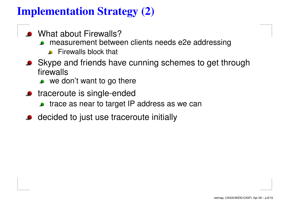## **Implementation Strategy (2)**

- What about Firewalls?
	- measurement between clients needs e2e addressing
		- **Firewalls block that**
- Skype and friends have cunning schemes to get throughfirewalls
	- we don't want to go there
- **•** traceroute is single-ended
	- trace as near to target IP address as we can
- decided to just use traceroute initially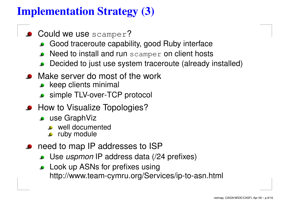# **Implementation Strategy (3)**

- Could we use scamper?
	- Good traceroute capability, good Ruby interface
	- Need to install and run scamper on client hosts
	- Decided to just use system traceroute (already installed)
- Make server do most of the work
	- **EXECUTE:** keep clients minimal
	- simple TLV-over-TCP protocol
- **How to Visualize Topologies?** 
	- **use GraphViz** 
		- well documented
		- **P** ruby module
- need to map IP addresses to ISP
	- Use *uspmon* IP address data (/24 prefixes)
	- **Look up ASNs for prefixes using** http://www.team-cymru.org/Services/ip-to-asn.html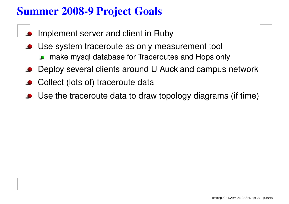#### **Summer 2008-9 Project Goals**

- Implement server and client in Ruby
- Use system traceroute as only measurement tool
	- make mysql database for Traceroutes and Hops only
- Deploy several clients around U Auckland campus network
- Collect (lots of) traceroute data
- Use the traceroute data to draw topology diagrams (if time)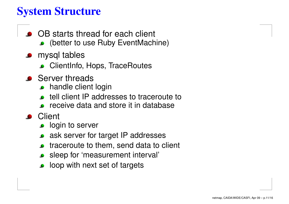### **System Structure**

- OB starts thread for each client
	- (better to use Ruby EventMachine)
- mysql tables
	- ClientInfo, Hops, TraceRoutes
- **Server threads** 
	- handle client login
	- tell client IP addresses to traceroute to
	- **P** receive data and store it in database
- **Client** 
	- **o** login to server
	- ask server for target IP addresses
	- traceroute to them, send data to client
	- sleep for 'measurement interval'
	- loop with next set of targets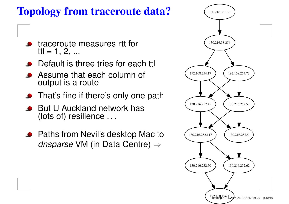## **Topology from traceroute data?**

- traceroute measures rtt forttl =  $1, 2, ...$
- Default is three tries for each ttl
- Assume that each column of output is <sup>a</sup> route
- That's fine if there's only one path
- But U Auckland network has(lots of) resilience . . .
- Paths from Nevil's desktop Mac to *dnsparse* VM (in Data Centre)  $\Rightarrow$

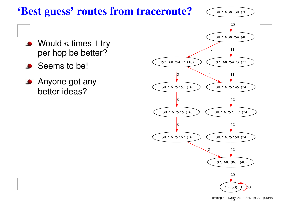#### **'Best guess' routes from traceroute?**

- Would  $n$  times 1 try per hop be better?
- Seems to be!
- Anyone got anybetter ideas?

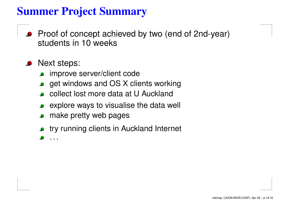## **Summer Project Summary**

• Proof of concept achieved by two (end of 2nd-year) students in 10 weeks

#### Next steps:

- **•** improve server/client code
- get windows and OS X clients working
- collect lost more data at U Auckland
- explore ways to visualise the data well  $\bullet$
- make pretty web pages
- **•** try running clients in Auckland Internet

. . .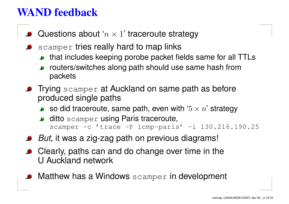### **WAND feedback**

- Questions about ' $n\times 1$ ' traceroute strategy
- $\texttt{scamper}$  tries really hard to map links
	- that includes keeping porobe packet fields same for all TTLs
	- routers/switches along path should use same hash frompackets
- Trying scamper at Auckland on same path as before produced single paths
	- so did traceroute, same path, even with ' $5 \times n$ ' strategy
	- ditto scamper using Paris traceroute, scamper  $-c$  'trace  $-P$  icmp-paris'  $-i$  130.216.190.25
- *But,* it was a zig-zag path on previous diagrams!
- Clearly, paths can and do change over time in the U Auckland network
- Matthew has a Windows  $\texttt{scamper}$  in development